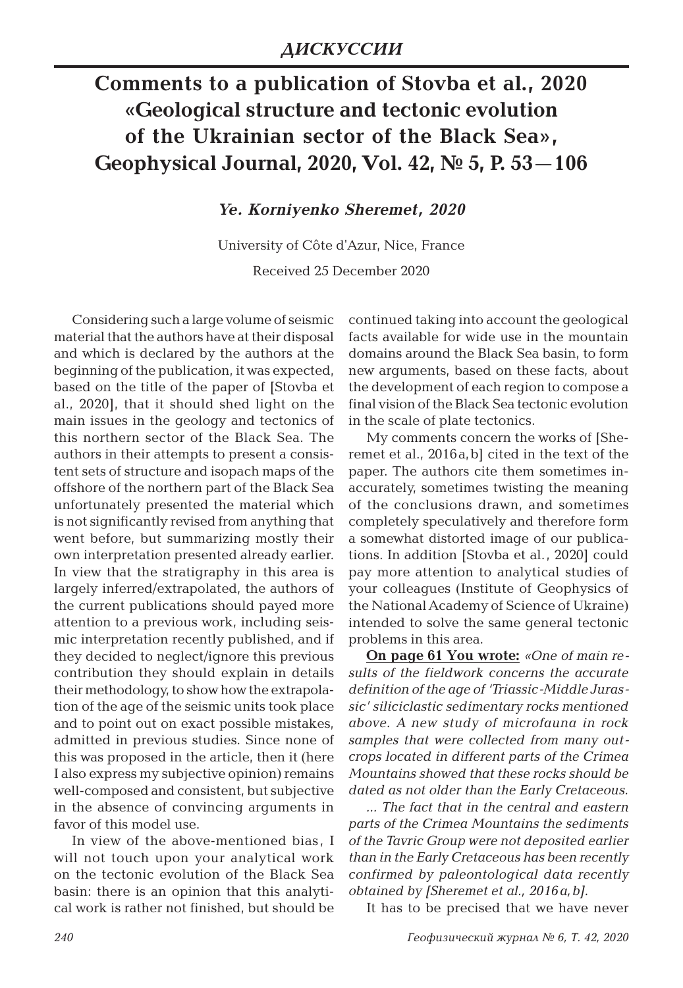## **Comments to a publication of Stovba et al., 2020 «Geological structure and tectonic evolution of the Ukrainian sector of the Black Sea», Geophysical Journal, 2020, Vol. 42, № 5, P. 53—106**

*Ye. Korniyenko Sheremet, 2020*

University of Côte d'Azur, Nice, France Received 25 December 2020

Considering such a large volume of seismic material that the authors have at their disposal and which is declared by the authors at the beginning of the publication, it was expected, based on the title of the paper of [Stovba et al., 2020], that it should shed light on the main issues in the geology and tectonics of this northern sector of the Black Sea. The authors in their attempts to present a consistent sets of structure and isopach maps of the offshore of the northern part of the Black Sea unfortunately presented the material which is not significantly revised from anything that went before, but summarizing mostly their own interpretation presented already earlier. In view that the stratigraphy in this area is largely inferred/extrapolated, the authors of the current publications should payed more attention to a previous work, including seismic interpretation recently published, and if they decided to neglect/ignore this previous contribution they should explain in details their methodology, to show how the extrapolation of the age of the seismic units took place and to point out on exact possible mistakes, admitted in previous studies. Since none of this was proposed in the article, then it (here I also express my subjective opinion) remains well-composed and consistent, but subjective in the absence of convincing arguments in favor of this model use.

In view of the above-mentioned bias, I will not touch upon your analytical work on the tectonic evolution of the Black Sea basin: there is an opinion that this analytical work is rather not finished, but should be

continued taking into account the geological facts available for wide use in the mountain domains around the Black Sea basin, to form new arguments, based on these facts, about the development of each region to compose a final vision of the Black Sea tectonic evolution in the scale of plate tectonics.

My comments concern the works of [Sheremet et al., 2016a,b] cited in the text of the paper. The authors cite them sometimes inaccurately, sometimes twisting the meaning of the conclusions drawn, and sometimes completely speculatively and therefore form a somewhat distorted image of our publications. In addition [Stovba et al., 2020] could pay more attention to analytical studies of your colleagues (Institute of Geophysics of the National Academy of Science of Ukraine) intended to solve the same general tectonic problems in this area.

**On page 61 You wrote:** *«One of main results of the fieldwork concerns the accurate definition of the age of 'Triassic-Middle Jurassic' siliciclastic sedimentary rocks mentioned above. A new study of microfauna in rock samples that were collected from many outcrops located in different parts of the Crimea Mountains showed that these rocks should be dated as not older than the Early Cretaceous.*

*... The fact that in the central and eastern parts of the Crimea Mountains the sediments of the Tavric Group were not deposited earlier than in the Early Cretaceous has been recently confirmed by paleontological data recently obtained by [Sheremet et al., 2016а,b].*

It has to be precised that we have never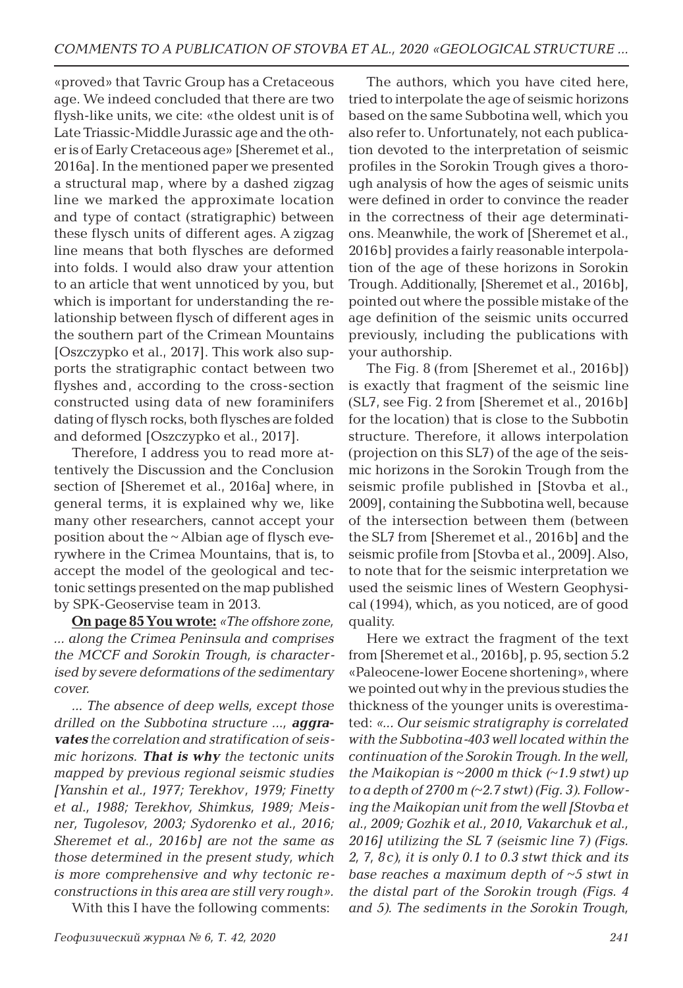«proved» that Tavric Group has a Cretaceous age. We indeed concluded that there are two flysh-like units, we cite: «the oldest unit is of Late Triassic-Middle Jurassic age and the other is of Early Cretaceous age» [Sheremet et al., 2016a]. In the mentioned paper we presented a structural map, where by a dashed zigzag line we marked the approximate location and type of contact (stratigraphic) between these flysch units of different ages. A zigzag line means that both flysches are deformed into folds. I would also draw your attention to an article that went unnoticed by you, but which is important for understanding the relationship between flysch of different ages in the southern part of the Crimean Mountains [Oszczypko et al., 2017]. This work also supports the stratigraphic contact between two flyshes and, according to the cross-section constructed using data of new foraminifers dating of flysch rocks, both flysches are folded and deformed [Oszczypko et al., 2017].

Therefore, I address you to read more attentively the Discussion and the Conclusion section of [Sheremet et al., 2016a] where, in general terms, it is explained why we, like many other researchers, cannot accept your position about the ~ Albian age of flysch everywhere in the Crimea Mountains, that is, to accept the model of the geological and tectonic settings presented on the map published by SPK-Geoservise team in 2013.

**On page 85 You wrote:** *«The offshore zone, ... along the Crimea Peninsula and comprises the MCCF and Sorokin Trough, is characterised by severe deformations of the sedimentary cover.*

*... The absence of deep wells, except those drilled on the Subbotina structure ..., aggravates the correlation and stratification of seismic horizons. That is why the tectonic units mapped by previous regional seismic studies [Yanshin et al., 1977; Terekhov, 1979; Finetty et al., 1988; Terekhov, Shimkus, 1989; Meisner, Tugolesov, 2003; Sydorenko et al., 2016; Sheremet et al., 2016b] are not the same as those determined in the present study, which is more comprehensive and why tectonic reconstructions in this area are still very rough».* With this I have the following comments:

The authors, which you have cited here, tried to interpolate the age of seismic horizons based on the same Subbotina well, which you also refer to. Unfortunately, not each publication devoted to the interpretation of seismic profiles in the Sorokin Trough gives a thorough analysis of how the ages of seismic units were defined in order to convince the reader in the correctness of their age determinations. Meanwhile, the work of [Sheremet et al., 2016b] provides a fairly reasonable interpolation of the age of these horizons in Sorokin Trough. Additionally, [Sheremet et al., 2016b], pointed out where the possible mistake of the age definition of the seismic units occurred previously, including the publications with your authorship.

The Fig. 8 (from [Sheremet et al., 2016b]) is exactly that fragment of the seismic line (SL7, see Fig. 2 from [Sheremet et al., 2016b] for the location) that is close to the Subbotin structure. Therefore, it allows interpolation (projection on this SL7) of the age of the seismic horizons in the Sorokin Trough from the seismic profile published in [Stovba et al., 2009], containing the Subbotina well, because of the intersection between them (between the SL7 from [Sheremet et al., 2016b] and the seismic profile from [Stovba et al., 2009]. Also, to note that for the seismic interpretation we used the seismic lines of Western Geophysical (1994), which, as you noticed, are of good quality.

Here we extract the fragment of the text from [Sheremet et al., 2016b], p. 95, section 5.2 «Paleocene-lower Eocene shortening», where we pointed out why in the previous studies the thickness of the younger units is overestimated: *«... Our seismic stratigraphy is correlated with the Subbotina-403 well located within the continuation of the Sorokin Trough. In the well, the Maikopian is ~2000 m thick (~1.9 stwt) up to a depth of 2700 m (~2.7 stwt) (Fig. 3). Following the Maikopian unit from the well [Stovba et al., 2009; Gozhik et al., 2010, Vakarchuk et al., 2016] utilizing the SL 7 (seismic line 7) (Figs. 2, 7, 8c), it is only 0.1 to 0.3 stwt thick and its base reaches a maximum depth of ~5 stwt in the distal part of the Sorokin trough (Figs. 4 and 5). The sediments in the Sorokin Trough,*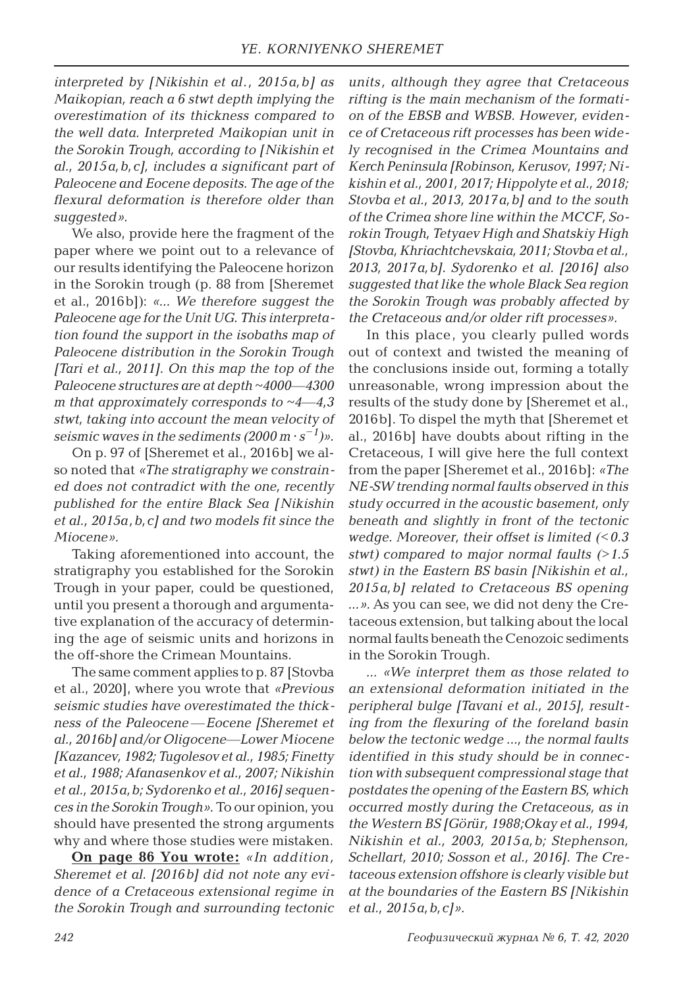*interpreted by [Nikishin et al., 2015a,b] as Maikopian, reach a 6 stwt depth implying the overestimation of its thickness compared to the well data. Interpreted Maikopian unit in the Sorokin Trough, according to [Nikishin et al., 2015a,b,c], includes a significant part of Paleocene and Eocene deposits. The age of the flexural deformation is therefore older than suggested».*

We also, provide here the fragment of the paper where we point out to a relevance of our results identifying the Paleocene horizon in the Sorokin trough (p. 88 from [Sheremet et al., 2016b]): *«... We therefore suggest the Paleocene age for the Unit UG. This interpretation found the support in the isobaths map of Paleocene distribution in the Sorokin Trough [Tari et al., 2011]. On this map the top of the Paleocene structures are at depth ~4000—4300 m that approximately corresponds to*  $~4 - 4,3$ *stwt, taking into account the mean velocity of seismic waves in the sediments*  $(2000 \text{ m} \cdot \text{s}^{-1})$ *».* 

On p. 97 of [Sheremet et al., 2016b] we also noted that *«The stratigraphy we constrained does not contradict with the one, recently published for the entire Black Sea [Nikishin et al., 2015a,b,c] and two models fit since the Miocene».*

Taking aforementioned into account, the stratigraphy you established for the Sorokin Trough in your paper, could be questioned, until you present a thorough and argumentative explanation of the accuracy of determining the age of seismic units and horizons in the off-shore the Crimean Mountains.

The same comment applies to p. 87 [Stovba et al., 2020], where you wrote that *«Previous seismic studies have overestimated the thickness of the Paleocene —Eocene [Sheremet et al., 2016b] and/or Oligocene—Lower Miocene [Kazancev, 1982; Tugolesov et al., 1985; Finetty et al., 1988; Afanasenkov et al., 2007; Nikishin et al., 2015a,b; Sydorenko et al., 2016] sequences in the Sorokin Trough».* To our opinion, you should have presented the strong arguments why and where those studies were mistaken.

**On page 86 You wrote:** *«In addition, Sheremet et al. [2016b] did not note any evidence of a Cretaceous extensional regime in the Sorokin Trough and surrounding tectonic*  *units, although they agree that Cretaceous rifting is the main mechanism of the formation of the EBSB and WBSB. However, evidence of Cretaceous rift processes has been widely recognised in the Crimea Mountains and Kerch Peninsula [Robinson, Kerusov, 1997; Nikishin et al., 2001, 2017; Hippolyte et al., 2018; Stovba et al., 2013, 2017a,b] and to the south of the Crimea shore line within the MCCF, Sorokin Trough, Tetyaev High and Shatskiy High [Stovba, Khriachtchevskaia, 2011; Stovba et al., 2013, 2017a,b]. Sydorenko et al. [2016] also suggested that like the whole Black Sea region the Sorokin Trough was probably affected by the Cretaceous and/or older rift processes».*

In this place, you clearly pulled words out of context and twisted the meaning of the conclusions inside out, forming a totally unreasonable, wrong impression about the results of the study done by [Sheremet et al., 2016b]. To dispel the myth that [Sheremet et al., 2016b] have doubts about rifting in the Cretaceous, I will give here the full context from the paper [Sheremet et al., 2016b]: *«The NE-SW trending normal faults observed in this study occurred in the acoustic basement, only beneath and slightly in front of the tectonic wedge. Moreover, their offset is limited (<0.3 stwt) compared to major normal faults (>1.5 stwt) in the Eastern BS basin [Nikishin et al., 2015a,b] related to Cretaceous BS opening ...».* As you can see, we did not deny the Cretaceous extension, but talking about the local normal faults beneath the Cenozoic sediments in the Sorokin Trough.

*... «We interpret them as those related to an extensional deformation initiated in the peripheral bulge [Tavani et al., 2015], resulting from the flexuring of the foreland basin below the tectonic wedge ..., the normal faults identified in this study should be in connection with subsequent compressional stage that postdates the opening of the Eastern BS, which occurred mostly during the Cretaceous, as in the Western BS [Görür, 1988;Okay et al., 1994, Nikishin et al., 2003, 2015a,b; Stephenson, Schellart, 2010; Sosson et al., 2016]. The Cretaceous extension offshore is clearly visible but at the boundaries of the Eastern BS [Nikishin et al., 2015a,b,c]».*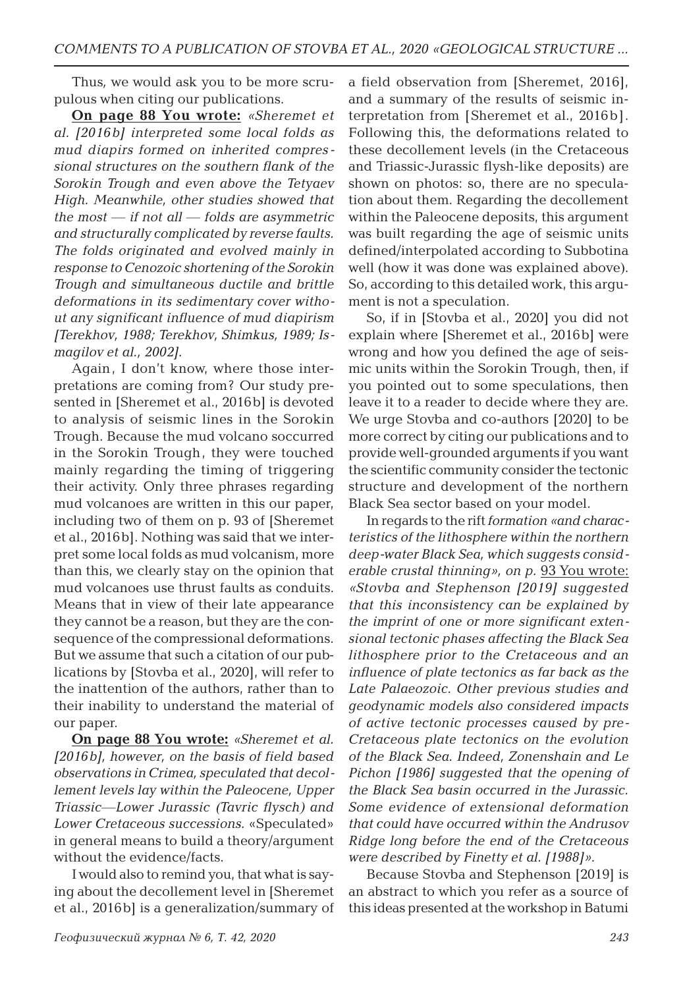Thus*,* we would ask you to be more scrupulous when citing our publications.

**On page 88 You wrote:** *«Sheremet et al. [2016b] interpreted some local folds as mud diapirs formed on inherited compressional structures on the southern flank of the Sorokin Trough and even above the Tetyaev High. Meanwhile, other studies showed that the most — if not all — folds are asymmetric and structurally complicated by reverse faults. The folds originated and evolved mainly in response to Cenozoic shortening of the Sorokin Trough and simultaneous ductile and brittle deformations in its sedimentary cover without any significant influence of mud diapirism [Terekhov, 1988; Terekhov, Shimkus, 1989; Ismagilov et al., 2002].*

Again, I don't know, where those interpretations are coming from? Our study presented in [Sheremet et al., 2016b] is devoted to analysis of seismic lines in the Sorokin Trough. Because the mud volcano soccurred in the Sorokin Trough, they were touched mainly regarding the timing of triggering their activity. Only three phrases regarding mud volcanoes are written in this our paper, including two of them on p. 93 of [Sheremet et al., 2016b]. Nothing was said that we interpret some local folds as mud volcanism, more than this, we clearly stay on the opinion that mud volcanoes use thrust faults as conduits. Means that in view of their late appearance they cannot be a reason, but they are the consequence of the compressional deformations. But we assume that such a citation of our publications by [Stovba et al., 2020], will refer to the inattention of the authors, rather than to their inability to understand the material of our paper.

**On page 88 You wrote:** *«Sheremet et al. [2016b], however, on the basis of field based observations in Crimea, speculated that decollement levels lay within the Paleocene, Upper Triassic—Lower Jurassic (Tavric flysch) and Lower Cretaceous successions.* «Speculated» in general means to build a theory/argument without the evidence/facts.

I would also to remind you, that what is saying about the decollement level in [Sheremet et al., 2016b] is a generalization/summary of

a field observation from [Sheremet, 2016], and a summary of the results of seismic interpretation from [Sheremet et al., 2016b]. Following this, the deformations related to these decollement levels (in the Cretaceous and Triassic-Jurassic flysh-like deposits) are shown on photos: so, there are no speculation about them. Regarding the decollement within the Paleocene deposits, this argument was built regarding the age of seismic units defined/interpolated according to Subbotina well (how it was done was explained above). So, according to this detailed work, this argument is not a speculation.

So, if in [Stovba et al., 2020] you did not explain where [Sheremet et al., 2016b] were wrong and how you defined the age of seismic units within the Sorokin Trough, then, if you pointed out to some speculations, then leave it to a reader to decide where they are. We urge Stovba and co-authors [2020] to be more correct by citing our publications and to provide well-grounded arguments if you want the scientific community consider the tectonic structure and development of the northern Black Sea sector based on your model.

In regards to the rift *formation «and characteristics of the lithosphere within the northern deep-water Black Sea, which suggests considerable crustal thinning», on p.* 93 You wrote: *«Stovba and Stephenson [2019] suggested that this inconsistency can be explained by the imprint of one or more significant extensional tectonic phases affecting the Black Sea lithosphere prior to the Cretaceous and an influence of plate tectonics as far back as the Late Palaeozoic. Other previous studies and geodynamic models also considered impacts of active tectonic processes caused by pre-Cretaceous plate tectonics on the evolution of the Black Sea. Indeed, Zonenshain and Le Pichon [1986] suggested that the opening of the Black Sea basin occurred in the Jurassic. Some evidence of extensional deformation that could have occurred within the Andrusov Ridge long before the end of the Cretaceous were described by Finetty et al. [1988]».*

Because Stovba and Stephenson [2019] is an abstract to which you refer as a source of this ideas presented at the workshop in Batumi